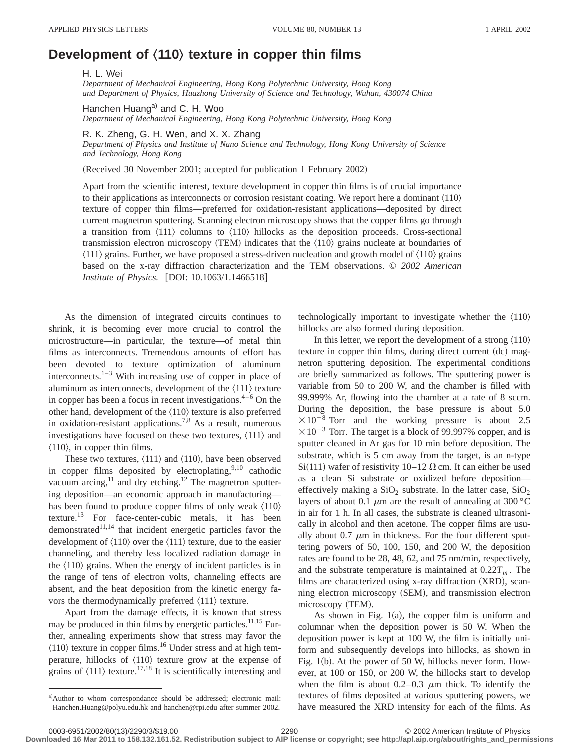## **Development of**  $\langle 110 \rangle$  **texture in copper thin films**

H. L. Wei

*Department of Mechanical Engineering, Hong Kong Polytechnic University, Hong Kong and Department of Physics, Huazhong University of Science and Technology, Wuhan, 430074 China*

Hanchen Huang<sup>a)</sup> and C. H. Woo *Department of Mechanical Engineering, Hong Kong Polytechnic University, Hong Kong*

R. K. Zheng, G. H. Wen, and X. X. Zhang

*Department of Physics and Institute of Nano Science and Technology, Hong Kong University of Science and Technology, Hong Kong*

 $(Received 30 November 2001; accepted for publication 1 February 2002)$ 

Apart from the scientific interest, texture development in copper thin films is of crucial importance to their applications as interconnects or corrosion resistant coating. We report here a dominant  $\langle 110 \rangle$ texture of copper thin films—preferred for oxidation-resistant applications—deposited by direct current magnetron sputtering. Scanning electron microscopy shows that the copper films go through a transition from  $\langle 111 \rangle$  columns to  $\langle 110 \rangle$  hillocks as the deposition proceeds. Cross-sectional transmission electron microscopy (TEM) indicates that the  $\langle 110 \rangle$  grains nucleate at boundaries of  $\langle 111 \rangle$  grains. Further, we have proposed a stress-driven nucleation and growth model of  $\langle 110 \rangle$  grains based on the x-ray diffraction characterization and the TEM observations. © *2002 American Institute of Physics.* [DOI: 10.1063/1.1466518]

As the dimension of integrated circuits continues to shrink, it is becoming ever more crucial to control the microstructure—in particular, the texture—of metal thin films as interconnects. Tremendous amounts of effort has been devoted to texture optimization of aluminum interconnects. $1-3$  With increasing use of copper in place of aluminum as interconnects, development of the  $\langle 111 \rangle$  texture in copper has been a focus in recent investigations. $4-6$  On the other hand, development of the  $\langle 110 \rangle$  texture is also preferred in oxidation-resistant applications.<sup>7,8</sup> As a result, numerous investigations have focused on these two textures,  $\langle 111 \rangle$  and  $\langle 110 \rangle$ , in copper thin films.

These two textures,  $\langle 111 \rangle$  and  $\langle 110 \rangle$ , have been observed in copper films deposited by electroplating, $9,10$  cathodic vacuum arcing, $11$  and dry etching.<sup>12</sup> The magnetron sputtering deposition—an economic approach in manufacturing has been found to produce copper films of only weak  $\langle 110 \rangle$ texture.13 For face-center-cubic metals, it has been demonstrated $11,14$  that incident energetic particles favor the development of  $\langle 110 \rangle$  over the  $\langle 111 \rangle$  texture, due to the easier channeling, and thereby less localized radiation damage in the  $\langle 110 \rangle$  grains. When the energy of incident particles is in the range of tens of electron volts, channeling effects are absent, and the heat deposition from the kinetic energy favors the thermodynamically preferred  $\langle 111 \rangle$  texture.

Apart from the damage effects, it is known that stress may be produced in thin films by energetic particles.<sup>11,15</sup> Further, annealing experiments show that stress may favor the  $\langle 110 \rangle$  texture in copper films.<sup>16</sup> Under stress and at high temperature, hillocks of  $\langle 110 \rangle$  texture grow at the expense of grains of  $\langle 111 \rangle$  texture.<sup>17,18</sup> It is scientifically interesting and

technologically important to investigate whether the  $\langle 110 \rangle$ hillocks are also formed during deposition.

In this letter, we report the development of a strong  $\langle 110 \rangle$ texture in copper thin films, during direct current  $(dc)$  magnetron sputtering deposition. The experimental conditions are briefly summarized as follows. The sputtering power is variable from 50 to 200 W, and the chamber is filled with 99.999% Ar, flowing into the chamber at a rate of 8 sccm. During the deposition, the base pressure is about 5.0  $\times 10^{-8}$  Torr and the working pressure is about 2.5  $\times 10^{-3}$  Torr. The target is a block of 99.997% copper, and is sputter cleaned in Ar gas for 10 min before deposition. The substrate, which is 5 cm away from the target, is an n-type Si(111) wafer of resistivity 10–12  $\Omega$  cm. It can either be used as a clean Si substrate or oxidized before deposition effectively making a  $SiO<sub>2</sub>$  substrate. In the latter case,  $SiO<sub>2</sub>$ layers of about 0.1  $\mu$ m are the result of annealing at 300 °C in air for 1 h. In all cases, the substrate is cleaned ultrasonically in alcohol and then acetone. The copper films are usually about 0.7  $\mu$ m in thickness. For the four different sputtering powers of 50, 100, 150, and 200 W, the deposition rates are found to be 28, 48, 62, and 75 nm/min, respectively, and the substrate temperature is maintained at  $0.22T_m$ . The films are characterized using  $x$ -ray diffraction  $(XRD)$ , scanning electron microscopy (SEM), and transmission electron microscopy (TEM).

As shown in Fig.  $1(a)$ , the copper film is uniform and columnar when the deposition power is 50 W. When the deposition power is kept at 100 W, the film is initially uniform and subsequently develops into hillocks, as shown in Fig.  $1(b)$ . At the power of 50 W, hillocks never form. However, at 100 or 150, or 200 W, the hillocks start to develop when the film is about  $0.2-0.3$   $\mu$ m thick. To identify the textures of films deposited at various sputtering powers, we have measured the XRD intensity for each of the films. As

**Downloaded 16 Mar 2011 to 158.132.161.52. Redistribution subject to AIP license or copyright; see http://apl.aip.org/about/rights\_and\_permissions**

a)Author to whom correspondance should be addressed; electronic mail: Hanchen.Huang@polyu.edu.hk and hanchen@rpi.edu after summer 2002.

<sup>0003-6951/2002/80(13)/2290/3/\$19.00 © 2002</sup> American Institute of Physics 2290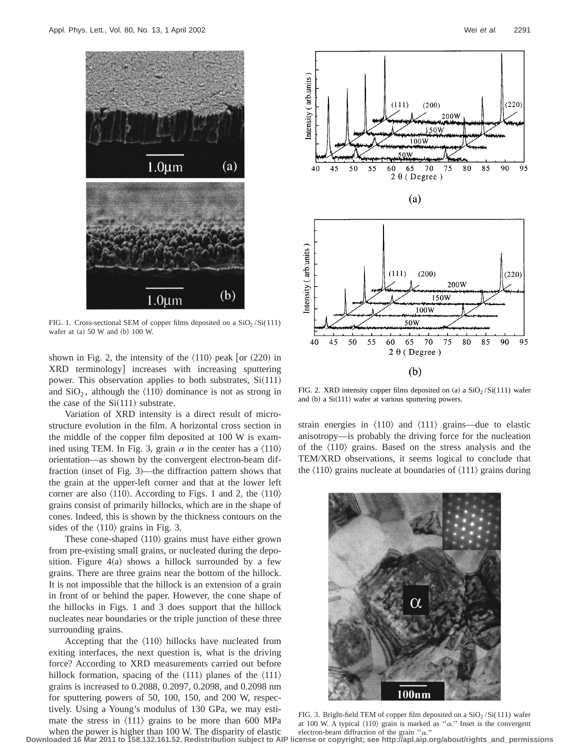

FIG. 1. Cross-sectional SEM of copper films deposited on a  $SiO_2/Si(111)$ wafer at (a) 50 W and (b) 100 W.

shown in Fig. 2, the intensity of the  $\langle 110 \rangle$  peak [or  $(220)$  in XRD terminology increases with increasing sputtering power. This observation applies to both substrates,  $Si(111)$ and  $SiO<sub>2</sub>$ , although the  $\langle 110 \rangle$  dominance is not as strong in the case of the  $Si(111)$  substrate.

Variation of XRD intensity is a direct result of microstructure evolution in the film. A horizontal cross section in the middle of the copper film deposited at 100 W is examined using TEM. In Fig. 3, grain  $\alpha$  in the center has a  $\langle 110 \rangle$ orientation—as shown by the convergent electron-beam diffraction (inset of Fig.  $3$ )—the diffraction pattern shows that the grain at the upper-left corner and that at the lower left corner are also  $\langle 110 \rangle$ . According to Figs. 1 and 2, the  $\langle 110 \rangle$ grains consist of primarily hillocks, which are in the shape of cones. Indeed, this is shown by the thickness contours on the sides of the  $\langle 110 \rangle$  grains in Fig. 3.

These cone-shaped  $\langle 110 \rangle$  grains must have either grown from pre-existing small grains, or nucleated during the deposition. Figure  $4(a)$  shows a hillock surrounded by a few grains. There are three grains near the bottom of the hillock. It is not impossible that the hillock is an extension of a grain in front of or behind the paper. However, the cone shape of the hillocks in Figs. 1 and 3 does support that the hillock nucleates near boundaries or the triple junction of these three surrounding grains.

Accepting that the  $\langle 110 \rangle$  hillocks have nucleated from exiting interfaces, the next question is, what is the driving force? According to XRD measurements carried out before hillock formation, spacing of the  $(111)$  planes of the  $\langle 111 \rangle$ grains is increased to 0.2088, 0.2097, 0.2098, and 0.2098 nm for sputtering powers of 50, 100, 150, and 200 W, respectively. Using a Young's modulus of 130 GPa, we may estimate the stress in  $\langle 111 \rangle$  grains to be more than 600 MPa when the power is higher than 100 W. The disparity of elastic



FIG. 2. XRD intensity copper films deposited on (a) a  $SiO<sub>2</sub>/Si(111)$  wafer and  $(b)$  a Si $(111)$  wafer at various sputtering powers.

strain energies in  $\langle 110 \rangle$  and  $\langle 111 \rangle$  grains—due to elastic anisotropy—is probably the driving force for the nucleation of the  $\langle 110 \rangle$  grains. Based on the stress analysis and the TEM/XRD observations, it seems logical to conclude that the  $\langle 110 \rangle$  grains nucleate at boundaries of  $\langle 111 \rangle$  grains during



FIG. 3. Bright-field TEM of copper film deposited on a  $SiO<sub>2</sub>/Si(111)$  wafer at 100 W. A typical  $\langle 110 \rangle$  grain is marked as " $\alpha$ ." Inset is the convergent electron-beam diffraction of the grain " $\alpha$ ."

**Downloaded 16 Mar 2011 to 158.132.161.52. Redistribution subject to AIP license or copyright; see http://apl.aip.org/about/rights\_and\_permissions**